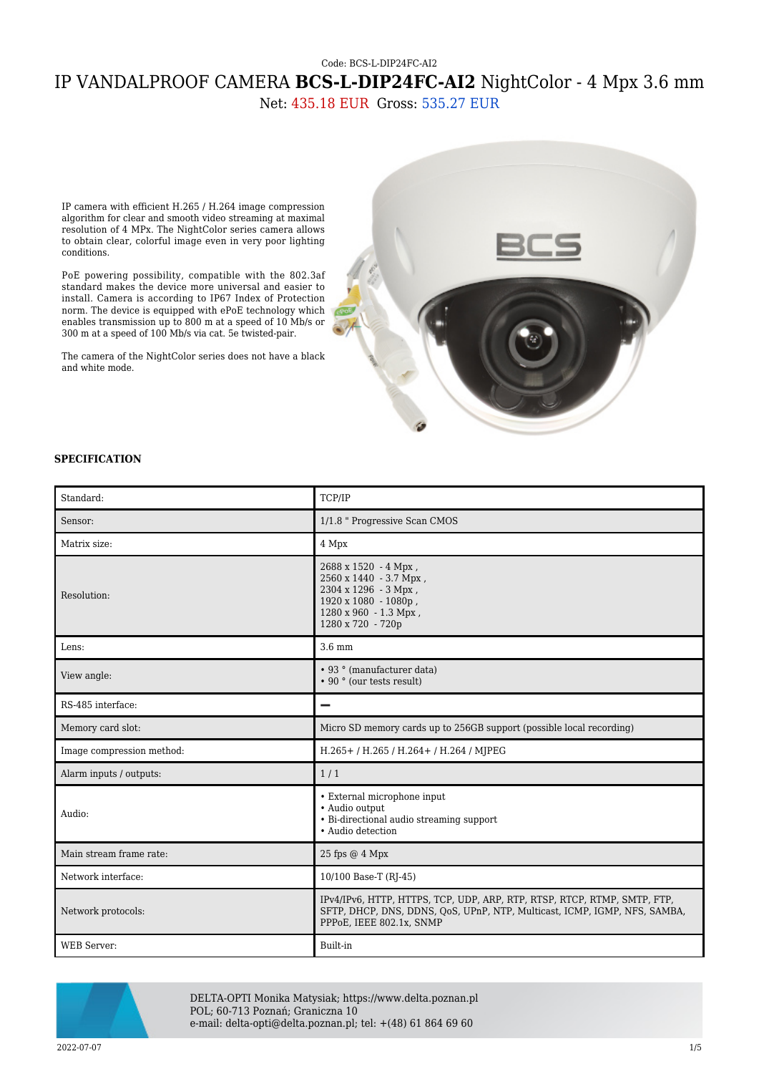## Code: BCS-L-DIP24FC-AI2 IP VANDALPROOF CAMERA **BCS-L-DIP24FC-AI2** NightColor - 4 Mpx 3.6 mm Net: 435.18 EUR Gross: 535.27 EUR

IP camera with efficient H.265 / H.264 image compression algorithm for clear and smooth video streaming at maximal resolution of 4 MPx. The NightColor series camera allows to obtain clear, colorful image even in very poor lighting conditions.

PoE powering possibility, compatible with the 802.3af standard makes the device more universal and easier to install. Camera is according to IP67 Index of Protection norm. The device is equipped with ePoE technology which enables transmission up to 800 m at a speed of 10 Mb/s or 300 m at a speed of 100 Mb/s via cat. 5e twisted-pair.

The camera of the NightColor series does not have a black and white mode.



## **SPECIFICATION**

| Standard:                 | TCP/IP                                                                                                                                                                            |
|---------------------------|-----------------------------------------------------------------------------------------------------------------------------------------------------------------------------------|
| Sensor:                   | 1/1.8 " Progressive Scan CMOS                                                                                                                                                     |
| Matrix size:              | 4 Mpx                                                                                                                                                                             |
| Resolution:               | 2688 x 1520 - 4 Mpx,<br>2560 x 1440 - 3.7 Mpx,<br>2304 x 1296 - 3 Mpx,<br>1920 x 1080 - 1080p,<br>1280 x 960 - 1.3 Mpx,<br>1280 x 720 - 720p                                      |
| Lens:                     | $3.6 \text{ mm}$                                                                                                                                                                  |
| View angle:               | • 93 ° (manufacturer data)<br>• 90 ° (our tests result)                                                                                                                           |
| RS-485 interface:         |                                                                                                                                                                                   |
| Memory card slot:         | Micro SD memory cards up to 256GB support (possible local recording)                                                                                                              |
| Image compression method: | H.265+/H.265/H.264+/H.264/MJPEG                                                                                                                                                   |
| Alarm inputs / outputs:   | 1/1                                                                                                                                                                               |
| Audio:                    | • External microphone input<br>• Audio output<br>• Bi-directional audio streaming support<br>• Audio detection                                                                    |
| Main stream frame rate:   | 25 fps @ 4 Mpx                                                                                                                                                                    |
| Network interface:        | 10/100 Base-T (RJ-45)                                                                                                                                                             |
| Network protocols:        | IPv4/IPv6, HTTP, HTTPS, TCP, UDP, ARP, RTP, RTSP, RTCP, RTMP, SMTP, FTP,<br>SFTP, DHCP, DNS, DDNS, QoS, UPnP, NTP, Multicast, ICMP, IGMP, NFS, SAMBA,<br>PPPoE, IEEE 802.1x, SNMP |
| <b>WEB</b> Server:        | Built-in                                                                                                                                                                          |



DELTA-OPTI Monika Matysiak; https://www.delta.poznan.pl POL; 60-713 Poznań; Graniczna 10 e-mail: delta-opti@delta.poznan.pl; tel: +(48) 61 864 69 60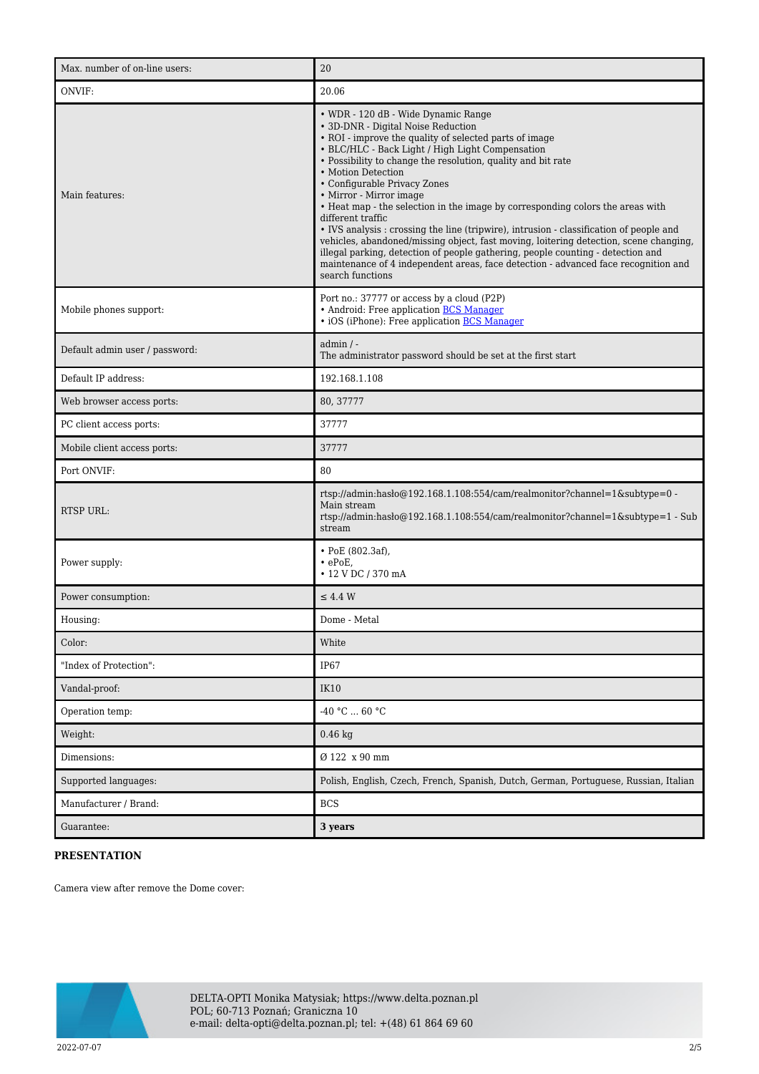| Max. number of on-line users:  | 20                                                                                                                                                                                                                                                                                                                                                                                                                                                                                                                                                                                                                                                                                                                                                                                                                               |
|--------------------------------|----------------------------------------------------------------------------------------------------------------------------------------------------------------------------------------------------------------------------------------------------------------------------------------------------------------------------------------------------------------------------------------------------------------------------------------------------------------------------------------------------------------------------------------------------------------------------------------------------------------------------------------------------------------------------------------------------------------------------------------------------------------------------------------------------------------------------------|
| ONVIF:                         | 20.06                                                                                                                                                                                                                                                                                                                                                                                                                                                                                                                                                                                                                                                                                                                                                                                                                            |
| Main features:                 | • WDR - 120 dB - Wide Dynamic Range<br>• 3D-DNR - Digital Noise Reduction<br>• ROI - improve the quality of selected parts of image<br>• BLC/HLC - Back Light / High Light Compensation<br>• Possibility to change the resolution, quality and bit rate<br>• Motion Detection<br>• Configurable Privacy Zones<br>• Mirror - Mirror image<br>• Heat map - the selection in the image by corresponding colors the areas with<br>different traffic<br>• IVS analysis : crossing the line (tripwire), intrusion - classification of people and<br>vehicles, abandoned/missing object, fast moving, loitering detection, scene changing,<br>illegal parking, detection of people gathering, people counting - detection and<br>maintenance of 4 independent areas, face detection - advanced face recognition and<br>search functions |
| Mobile phones support:         | Port no.: 37777 or access by a cloud (P2P)<br>• Android: Free application <b>BCS Manager</b><br>• iOS (iPhone): Free application <b>BCS Manager</b>                                                                                                                                                                                                                                                                                                                                                                                                                                                                                                                                                                                                                                                                              |
| Default admin user / password: | $admin / -$<br>The administrator password should be set at the first start                                                                                                                                                                                                                                                                                                                                                                                                                                                                                                                                                                                                                                                                                                                                                       |
| Default IP address:            | 192.168.1.108                                                                                                                                                                                                                                                                                                                                                                                                                                                                                                                                                                                                                                                                                                                                                                                                                    |
| Web browser access ports:      | 80, 37777                                                                                                                                                                                                                                                                                                                                                                                                                                                                                                                                                                                                                                                                                                                                                                                                                        |
| PC client access ports:        | 37777                                                                                                                                                                                                                                                                                                                                                                                                                                                                                                                                                                                                                                                                                                                                                                                                                            |
| Mobile client access ports:    | 37777                                                                                                                                                                                                                                                                                                                                                                                                                                                                                                                                                                                                                                                                                                                                                                                                                            |
| Port ONVIF:                    | 80                                                                                                                                                                                                                                                                                                                                                                                                                                                                                                                                                                                                                                                                                                                                                                                                                               |
| <b>RTSP URL:</b>               | rtsp://admin:hasło@192.168.1.108:554/cam/realmonitor?channel=1&subtype=0 -<br>Main stream<br>rtsp://admin:haslo $@192.168.1.108.554$ /cam/realmonitor?channel=1&subtype=1 - Sub<br>stream                                                                                                                                                                                                                                                                                                                                                                                                                                                                                                                                                                                                                                        |
| Power supply:                  | $\cdot$ PoE (802.3af),<br>$\cdot$ ePoE,<br>• 12 V DC / 370 mA                                                                                                                                                                                                                                                                                                                                                                                                                                                                                                                                                                                                                                                                                                                                                                    |
| Power consumption:             | $\leq$ 4.4 W                                                                                                                                                                                                                                                                                                                                                                                                                                                                                                                                                                                                                                                                                                                                                                                                                     |
| Housing:                       | Dome - Metal                                                                                                                                                                                                                                                                                                                                                                                                                                                                                                                                                                                                                                                                                                                                                                                                                     |
| Color:                         | White                                                                                                                                                                                                                                                                                                                                                                                                                                                                                                                                                                                                                                                                                                                                                                                                                            |
| "Index of Protection":         | IP67                                                                                                                                                                                                                                                                                                                                                                                                                                                                                                                                                                                                                                                                                                                                                                                                                             |
| Vandal-proof:                  | <b>IK10</b>                                                                                                                                                                                                                                                                                                                                                                                                                                                                                                                                                                                                                                                                                                                                                                                                                      |
| Operation temp:                | -40 °C $\ldots$ 60 °C                                                                                                                                                                                                                                                                                                                                                                                                                                                                                                                                                                                                                                                                                                                                                                                                            |
| Weight:                        | $0.46$ kg                                                                                                                                                                                                                                                                                                                                                                                                                                                                                                                                                                                                                                                                                                                                                                                                                        |
| Dimensions:                    | Ø 122 x 90 mm                                                                                                                                                                                                                                                                                                                                                                                                                                                                                                                                                                                                                                                                                                                                                                                                                    |
| Supported languages:           | Polish, English, Czech, French, Spanish, Dutch, German, Portuguese, Russian, Italian                                                                                                                                                                                                                                                                                                                                                                                                                                                                                                                                                                                                                                                                                                                                             |
| Manufacturer / Brand:          | <b>BCS</b>                                                                                                                                                                                                                                                                                                                                                                                                                                                                                                                                                                                                                                                                                                                                                                                                                       |
| Guarantee:                     | 3 years                                                                                                                                                                                                                                                                                                                                                                                                                                                                                                                                                                                                                                                                                                                                                                                                                          |

## **PRESENTATION**

Camera view after remove the Dome cover:

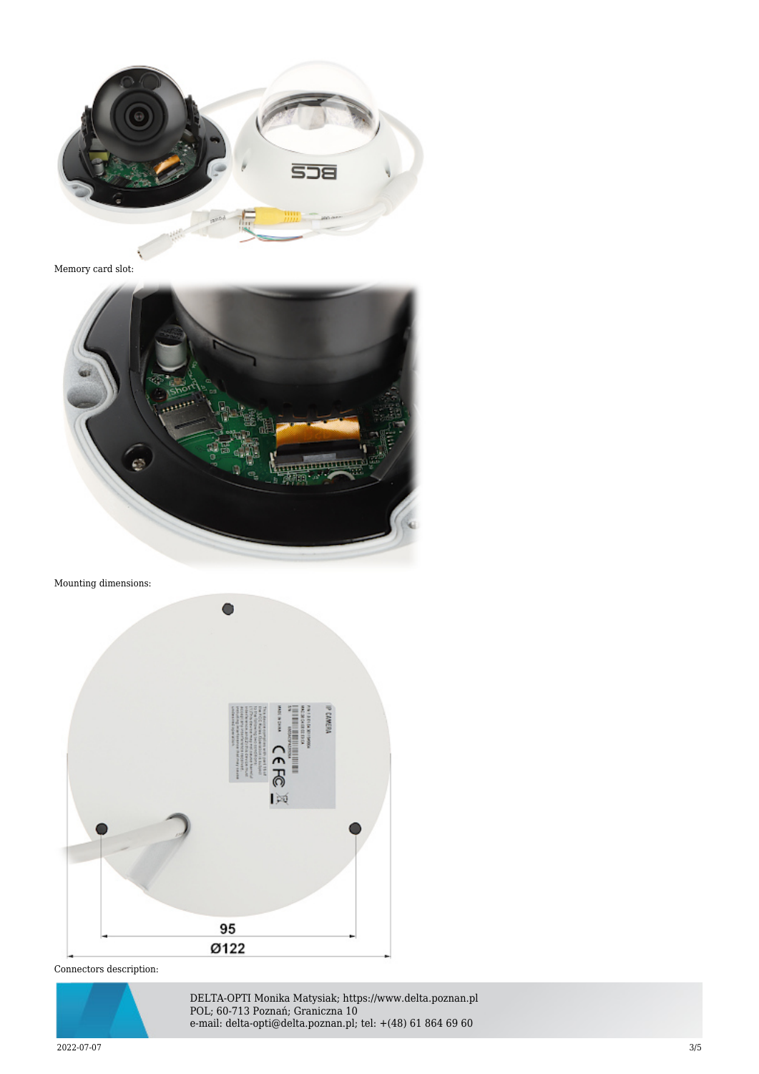

Memory card slot:



Mounting dimensions:



Connectors description:



DELTA-OPTI Monika Matysiak; https://www.delta.poznan.pl POL; 60-713 Poznań; Graniczna 10 e-mail: delta-opti@delta.poznan.pl; tel: +(48) 61 864 69 60

2022-07-07 3/5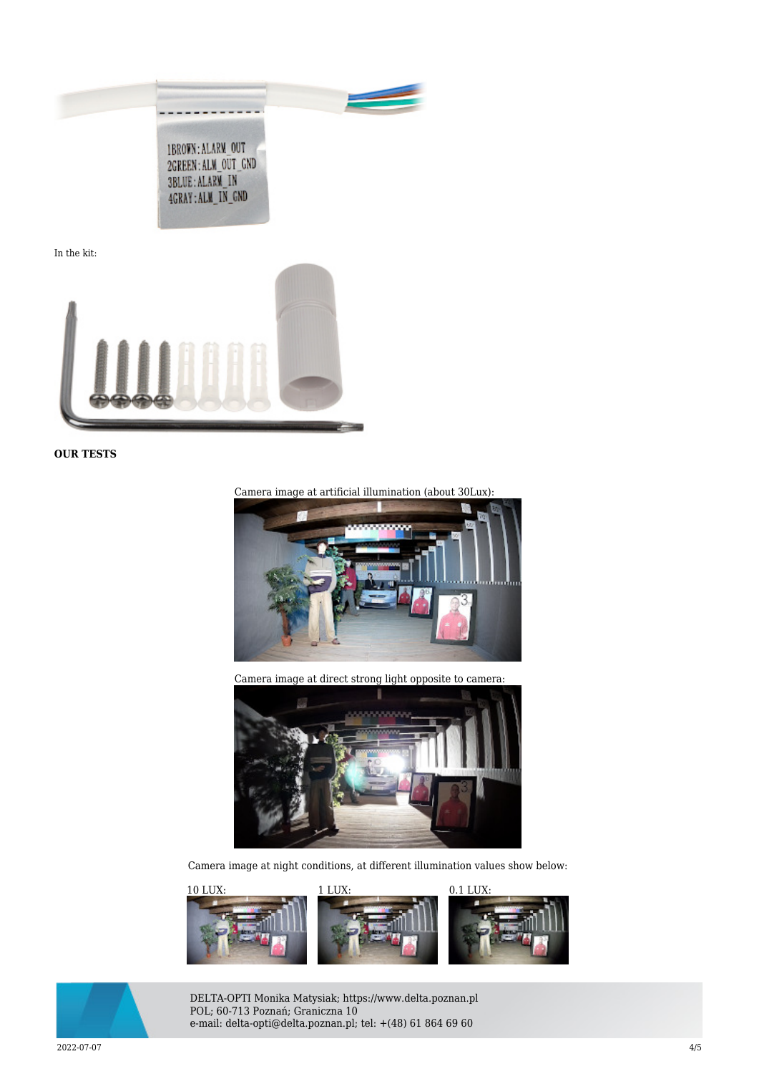

In the kit:



**OUR TESTS**



Camera image at direct strong light opposite to camera:



Camera image at night conditions, at different illumination values show below:





DELTA-OPTI Monika Matysiak; https://www.delta.poznan.pl POL; 60-713 Poznań; Graniczna 10 e-mail: delta-opti@delta.poznan.pl; tel: +(48) 61 864 69 60

2022-07-07 4/5